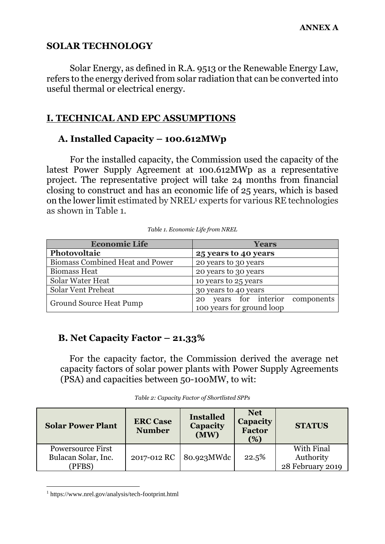## **SOLAR TECHNOLOGY**

Solar Energy, as defined in R.A. 9513 or the Renewable Energy Law, refers to the energy derived from solar radiation that can be converted into useful thermal or electrical energy.

## **I. TECHNICAL AND EPC ASSUMPTIONS**

## **A. Installed Capacity – 100.612MWp**

For the installed capacity, the Commission used the capacity of the latest Power Supply Agreement at 100.612MWp as a representative project. The representative project will take 24 months from financial closing to construct and has an economic life of 25 years, which is based on the lower limit estimated by NREL<sup>1</sup> experts for various RE technologies as shown in Table 1.

| <b>Economic Life</b>                   | <b>Years</b>                                                        |
|----------------------------------------|---------------------------------------------------------------------|
| Photovoltaic                           | 25 years to 40 years                                                |
| <b>Biomass Combined Heat and Power</b> | 20 years to 30 years                                                |
| <b>Biomass Heat</b>                    | 20 years to 30 years                                                |
| Solar Water Heat                       | 10 years to 25 years                                                |
| <b>Solar Vent Preheat</b>              | 30 years to 40 years                                                |
| <b>Ground Source Heat Pump</b>         | years for interior<br>components<br>20<br>100 years for ground loop |

*Table 1. Economic Life from NREL*

## **B. Net Capacity Factor – 21.33%**

For the capacity factor, the Commission derived the average net capacity factors of solar power plants with Power Supply Agreements (PSA) and capacities between 50-100MW, to wit:

|  |  | Table 2: Capacity Factor of Shortlisted SPPs |
|--|--|----------------------------------------------|
|--|--|----------------------------------------------|

| <b>Solar Power Plant</b>                                  | <b>ERC Case</b><br><b>Number</b> | <b>Installed</b><br><b>Capacity</b><br>(MW) | <b>Net</b><br><b>Capacity</b><br><b>Factor</b><br>(%) | <b>STATUS</b>                               |
|-----------------------------------------------------------|----------------------------------|---------------------------------------------|-------------------------------------------------------|---------------------------------------------|
| <b>Powersource First</b><br>Bulacan Solar, Inc.<br>(PFBS) |                                  | 2017-012 RC 80.923MWdc                      | 22.5%                                                 | With Final<br>Authority<br>28 February 2019 |

<sup>1</sup> https://www.nrel.gov/analysis/tech-footprint.html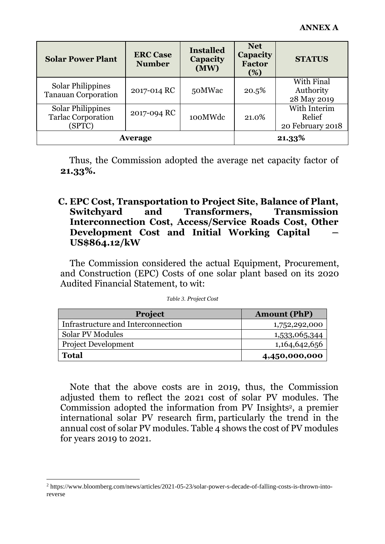| <b>Solar Power Plant</b>                                        | <b>ERC Case</b><br><b>Number</b> | <b>Installed</b><br>Capacity<br>(MW) | <b>Net</b><br><b>Capacity</b><br><b>Factor</b><br>(%) | <b>STATUS</b>                              |
|-----------------------------------------------------------------|----------------------------------|--------------------------------------|-------------------------------------------------------|--------------------------------------------|
| <b>Solar Philippines</b><br><b>Tanauan Corporation</b>          | 2017-014 RC                      | 50MWac                               | 20.5%                                                 | With Final<br>Authority<br>28 May 2019     |
| <b>Solar Philippines</b><br><b>Tarlac Corporation</b><br>(SPTC) | 2017-094 RC                      | 100MWdc                              | 21.0%                                                 | With Interim<br>Relief<br>20 February 2018 |
| <b>Average</b>                                                  |                                  |                                      | 21.33%                                                |                                            |

Thus, the Commission adopted the average net capacity factor of **21.33%.**

#### **C. EPC Cost, Transportation to Project Site, Balance of Plant, Switchyard and Transformers, Transmission Interconnection Cost, Access/Service Roads Cost, Other Development Cost and Initial Working Capital – US\$864.12/kW**

The Commission considered the actual Equipment, Procurement, and Construction (EPC) Costs of one solar plant based on its 2020 Audited Financial Statement, to wit:

| Table 3. Project Cost |
|-----------------------|
|                       |

| <b>Project</b>                     | <b>Amount (PhP)</b> |
|------------------------------------|---------------------|
| Infrastructure and Interconnection | 1,752,292,000       |
| <b>Solar PV Modules</b>            | 1,533,065,344       |
| <b>Project Development</b>         | 1,164,642,656       |
| <b>Total</b>                       | 4,450,000,000       |

Note that the above costs are in 2019, thus, the Commission adjusted them to reflect the 2021 cost of solar PV modules. The Commission adopted the information from PV Insights <sup>2</sup>, a premier international solar PV research firm, particularly the trend in the annual cost of solar PV modules. Table  $\overline{4}$  shows the cost of PV modules for years 2019 to 2021.

<sup>2</sup> https://www.bloomberg.com/news/articles/2021-05-23/solar-power-s-decade-of-falling-costs-is-thrown-intoreverse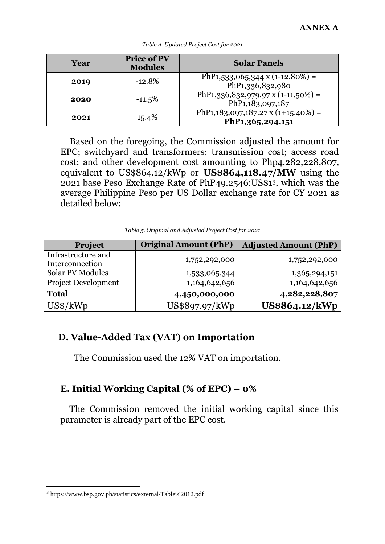| Year | <b>Price of PV</b><br><b>Modules</b> | <b>Solar Panels</b>                                                     |
|------|--------------------------------------|-------------------------------------------------------------------------|
| 2019 | $-12.8%$                             | PhP <sub>1</sub> ,533,065,344 x (1-12.80%) =<br>PhP1,336,832,980        |
| 2020 | $-11.5%$                             | PhP <sub>1</sub> ,336,832,979.97 x (1-11.50%) =<br>PhP1,183,097,187     |
| 2021 | 15.4%                                | PhP <sub>1</sub> , 183, 097, 187. 27 x (1+15.40%) =<br>PhP1,365,294,151 |

#### *Table 4. Updated Project Cost for 2021*

Based on the foregoing, the Commission adjusted the amount for EPC; switchyard and transformers; transmission cost; access road cost; and other development cost amounting to Php4,282,228,807, equivalent to US\$864.12/kWp or **US\$864,118.47/MW** using the 2021 base Peso Exchange Rate of PhP49.2546:US\$13, which was the average Philippine Peso per US Dollar exchange rate for CY 2021 as detailed below:

*Table 5. Original and Adjusted Project Cost for 2021*

| Project                               | <b>Original Amount (PhP)</b> | <b>Adjusted Amount (PhP)</b> |
|---------------------------------------|------------------------------|------------------------------|
| Infrastructure and<br>Interconnection | 1,752,292,000                | 1,752,292,000                |
| <b>Solar PV Modules</b>               | 1,533,065,344                | 1,365,294,151                |
| <b>Project Development</b>            | 1,164,642,656                | 1,164,642,656                |
| <b>Total</b>                          | 4,450,000,000                | 4,282,228,807                |
| $US\$ /kWp                            | US\$897.97/kWp               | US\$864.12/kWp               |

## **D. Value-Added Tax (VAT) on Importation**

The Commission used the 12% VAT on importation.

# **E. Initial Working Capital (% of EPC) – 0%**

The Commission removed the initial working capital since this parameter is already part of the EPC cost.

<sup>3</sup> https://www.bsp.gov.ph/statistics/external/Table%2012.pdf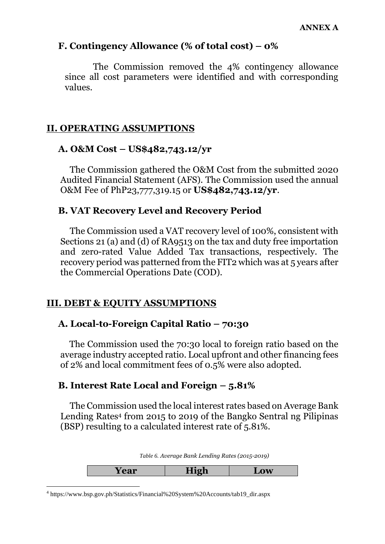## **F. Contingency Allowance (% of total cost) – 0%**

The Commission removed the 4% contingency allowance since all cost parameters were identified and with corresponding values.

## **II. OPERATING ASSUMPTIONS**

## **A. O&M Cost – US\$482,743.12/yr**

The Commission gathered the O&M Cost from the submitted 2020 Audited Financial Statement (AFS). The Commission used the annual O&M Fee of PhP23,777,319.15 or **US\$482,743.12/yr**.

## **B. VAT Recovery Level and Recovery Period**

The Commission used a VAT recovery level of 100%, consistent with Sections 21 (a) and (d) of RA9513 on the tax and duty free importation and zero-rated Value Added Tax transactions, respectively. The recovery period was patterned from the FIT2 which was at 5 years after the Commercial Operations Date (COD).

## **III. DEBT & EQUITY ASSUMPTIONS**

## **A. Local-to-Foreign Capital Ratio – 70:30**

The Commission used the 70:30 local to foreign ratio based on the average industry accepted ratio. Local upfront and other financing fees of 2% and local commitment fees of 0.5% were also adopted.

## **B. Interest Rate Local and Foreign – 5.81%**

The Commission used the local interest rates based on Average Bank Lending Rates<sup>4</sup> from 2015 to 2019 of the Bangko Sentral ng Pilipinas (BSP) resulting to a calculated interest rate of 5.81%.

*Table 6. Average Bank Lending Rates (2015-2019)*

| Table 0.1100 ago Bank Bohaing Rates (=01.) $\equiv$ 013) |      |     |
|----------------------------------------------------------|------|-----|
| Year                                                     | High | LOW |

<sup>4</sup> https://www.bsp.gov.ph/Statistics/Financial%20System%20Accounts/tab19\_dir.aspx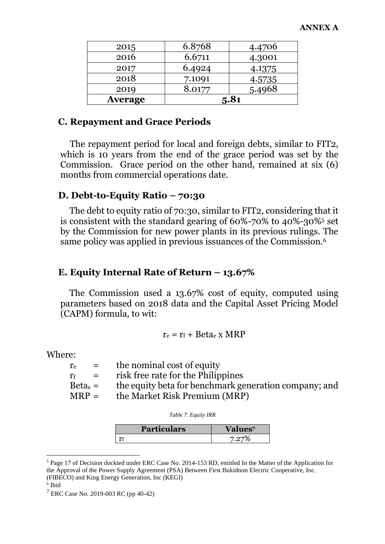| 2015           | 6.8768 | 4.4706 |
|----------------|--------|--------|
| 2016           | 6.6711 | 4.3001 |
| 2017           | 6.4924 | 4.1375 |
| 2018           | 7.1091 | 4.5735 |
| 2019           | 8.0177 | 5.4968 |
| <b>Average</b> |        | 5.81   |

#### **C. Repayment and Grace Periods**

The repayment period for local and foreign debts, similar to FIT2, which is 10 years from the end of the grace period was set by the Commission. Grace period on the other hand, remained at six (6) months from commercial operations date.

#### **D. Debt-to-Equity Ratio – 70:30**

The debt to equity ratio of 70:30, similar to FIT2, considering that it is consistent with the standard gearing of 60%-70% to 40%-30%<sup>5</sup> set by the Commission for new power plants in its previous rulings. The same policy was applied in previous issuances of the Commission.<sup>6</sup>

#### **E. Equity Internal Rate of Return – 13.67%**

The Commission used a 13.67% cost of equity, computed using parameters based on 2018 data and the Capital Asset Pricing Model (CAPM) formula, to wit:

$$
r_e = r_f + Beta_e \times MRP
$$

Where:

| $r_{\rm e}$ | $\equiv$ $\equiv$         | the nominal cost of equity                            |
|-------------|---------------------------|-------------------------------------------------------|
| $r_f$       | $\mathbf{r} = \mathbf{r}$ | risk free rate for the Philippines                    |
| $Betae$ =   |                           | the equity beta for benchmark generation company; and |
| $MRP =$     |                           | the Market Risk Premium (MRP)                         |
|             |                           |                                                       |

| <b>Particulars</b> | <b>Values</b> |
|--------------------|---------------|
|                    |               |

<sup>5</sup> Page 17 of Decision dockted under ERC Case No. 2014-153 RD, entitled In the Matter of the Application for the Approval of the Power Supply Agreement (PSA) Between First Bukidnon Electric Cooperative, Inc. (FIBECO) and King Energy Generation, Inc (KEGI)

<sup>6</sup> Ibid

<sup>7</sup> ERC Case No. 2019-003 RC (pp 40-42)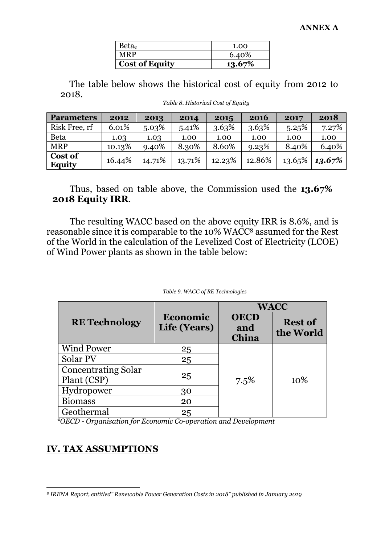| Betae                 | 1.00   |
|-----------------------|--------|
| <b>MRP</b>            | 6.40%  |
| <b>Cost of Equity</b> | 13.67% |

The table below shows the historical cost of equity from 2012 to 2018.

| <b>Parameters</b>        | 2012   | 2013   | 2014   | 2015   | 2016   | 2017   | 2018   |
|--------------------------|--------|--------|--------|--------|--------|--------|--------|
| Risk Free, rf            | 6.01%  | 5.03%  | 5.41%  | 3.63%  | 3.63%  | 5.25%  | 7.27%  |
| <b>Beta</b>              | 1.03   | 1.03   | 1.00   | 1.00   | 1.00   | 1.00   | 1.00   |
| <b>MRP</b>               | 10.13% | 9.40%  | 8.30%  | 8.60%  | 9.23%  | 8.40%  | 6.40%  |
| Cost of<br><b>Equity</b> | 16.44% | 14.71% | 13.71% | 12.23% | 12.86% | 13.65% | 13.67% |

*Table 8. Historical Cost of Equity*

Thus, based on table above, the Commission used the **13.67% 2018 Equity IRR**.

The resulting WACC based on the above equity IRR is 8.6%, and is reasonable since it is comparable to the 10% WACC<sup>8</sup> assumed for the Rest of the World in the calculation of the Levelized Cost of Electricity (LCOE) of Wind Power plants as shown in the table below:

|                                           |                          | <b>WACC</b>                 |                             |  |
|-------------------------------------------|--------------------------|-----------------------------|-----------------------------|--|
| <b>RE</b> Technology                      | Economic<br>Life (Years) | <b>OECD</b><br>and<br>China | <b>Rest of</b><br>the World |  |
| <b>Wind Power</b>                         | 25                       |                             |                             |  |
| Solar PV                                  | 25                       |                             |                             |  |
| <b>Concentrating Solar</b><br>Plant (CSP) | 25                       | 7.5%                        | 10\%                        |  |
| Hydropower                                | 30                       |                             |                             |  |
| <b>Biomass</b>                            | 20                       |                             |                             |  |
| Geothermal                                | 25                       |                             |                             |  |

#### *Table 9. WACC of RE Technologies*

 *\*OECD - Organisation for Economic Co-operation and Development*

#### **IV. TAX ASSUMPTIONS**

*<sup>8</sup> IRENA Report, entitled" Renewable Power Generation Costs in 2018" published in January 2019*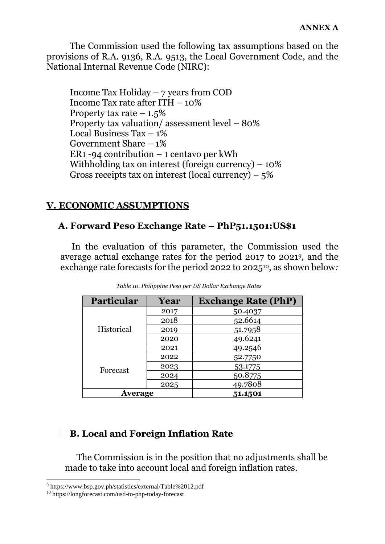The Commission used the following tax assumptions based on the provisions of R.A. 9136, R.A. 9513, the Local Government Code, and the National Internal Revenue Code (NIRC):

Income Tax Holiday – 7 years from COD Income Tax rate after ITH – 10% Property tax rate  $-1.5\%$ Property tax valuation/ assessment level – 80% Local Business  $\text{Tax} - 1\%$ Government Share – 1% ER1 -94 contribution – 1 centavo per kWh Withholding tax on interest (foreign currency)  $-10\%$ Gross receipts tax on interest (local currency) –  $5\%$ 

## **V. ECONOMIC ASSUMPTIONS**

## **A. Forward Peso Exchange Rate – PhP51.1501:US\$1**

In the evaluation of this parameter, the Commission used the average actual exchange rates for the period 2017 to 2021 <sup>9</sup>, and the exchange rate forecasts for the period 2022 to 202510, as shown below*:*

| <b>Particular</b> | Year | <b>Exchange Rate (PhP)</b> |
|-------------------|------|----------------------------|
|                   | 2017 | 50.4037                    |
|                   | 2018 | 52.6614                    |
| Historical        | 2019 | 51.7958                    |
|                   | 2020 | 49.6241                    |
|                   | 2021 | 49.2546                    |
|                   | 2022 | 52.7750                    |
| Forecast          | 2023 | 53.1775                    |
|                   | 2024 | 50.8775                    |
|                   | 2025 | 49.7808                    |
| Average           |      | 51.1501                    |

*Table 10. Philippine Peso per US Dollar Exchange Rates*

## **B. Local and Foreign Inflation Rate**

The Commission is in the position that no adjustments shall be made to take into account local and foreign inflation rates.

<sup>9</sup> https://www.bsp.gov.ph/statistics/external/Table%2012.pdf

<sup>10</sup> https://longforecast.com/usd-to-php-today-forecast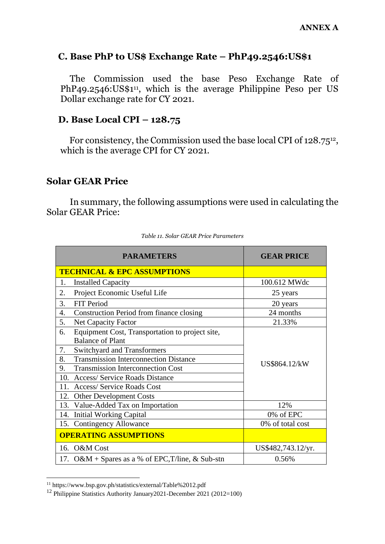#### **C. Base PhP to US\$ Exchange Rate – PhP49.2546:US\$1**

The Commission used the base Peso Exchange Rate of PhP49.2546:US\$1<sup>11</sup>, which is the average Philippine Peso per US Dollar exchange rate for CY 2021.

#### **D. Base Local CPI – 128.75**

For consistency, the Commission used the base local CPI of 128.7512, which is the average CPI for CY 2021.

## **Solar GEAR Price**

In summary, the following assumptions were used in calculating the Solar GEAR Price:

| <b>PARAMETERS</b>                                                                | <b>GEAR PRICE</b>  |
|----------------------------------------------------------------------------------|--------------------|
| <b>TECHNICAL &amp; EPC ASSUMPTIONS</b>                                           |                    |
| <b>Installed Capacity</b><br>1.                                                  | 100.612 MWdc       |
| Project Economic Useful Life<br>2.                                               | 25 years           |
| 3.<br>FIT Period                                                                 | 20 years           |
| Construction Period from finance closing<br>4.                                   | 24 months          |
| 5.<br><b>Net Capacity Factor</b>                                                 | 21.33%             |
| Equipment Cost, Transportation to project site,<br>6.<br><b>Balance of Plant</b> |                    |
| 7.<br><b>Switchyard and Transformers</b>                                         |                    |
| <b>Transmission Interconnection Distance</b><br>8.                               | US\$864.12/kW      |
| 9.<br><b>Transmission Interconnection Cost</b>                                   |                    |
| <b>Access/ Service Roads Distance</b><br>10.                                     |                    |
| 11.<br><b>Access/ Service Roads Cost</b>                                         |                    |
| 12.<br><b>Other Development Costs</b>                                            |                    |
| 13. Value-Added Tax on Importation                                               | 12%                |
| 14. Initial Working Capital                                                      | 0% of EPC          |
| 15. Contingency Allowance                                                        | 0% of total cost   |
| <b>OPERATING ASSUMPTIONS</b>                                                     |                    |
| 16. O&M Cost                                                                     | US\$482,743.12/yr. |
| 17. O&M + Spares as a % of EPC, T/line, & Sub-stn                                | 0.56%              |

<sup>11</sup> https://www.bsp.gov.ph/statistics/external/Table%2012.pdf

<sup>12</sup> Philippine Statistics Authority January2021-December 2021 (2012=100)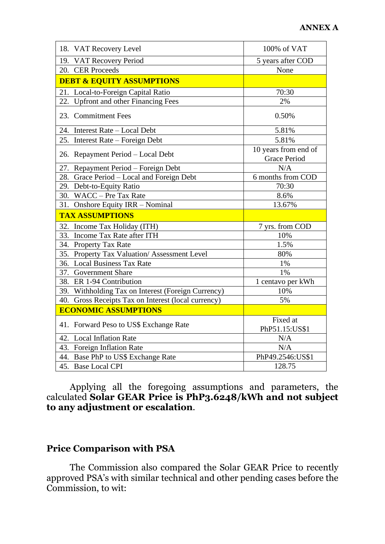| 18. VAT Recovery Level                              | 100% of VAT                                 |
|-----------------------------------------------------|---------------------------------------------|
| 19. VAT Recovery Period                             | 5 years after COD                           |
| 20. CER Proceeds                                    | None                                        |
| <b>DEBT &amp; EQUITY ASSUMPTIONS</b>                |                                             |
| 21. Local-to-Foreign Capital Ratio                  | 70:30                                       |
| 22.<br><b>Upfront and other Financing Fees</b>      | 2%                                          |
| 23. Commitment Fees                                 | 0.50%                                       |
| 24. Interest Rate - Local Debt                      | 5.81%                                       |
| 25. Interest Rate – Foreign Debt                    | 5.81%                                       |
| 26. Repayment Period – Local Debt                   | 10 years from end of<br><b>Grace Period</b> |
| 27. Repayment Period - Foreign Debt                 | N/A                                         |
| 28. Grace Period - Local and Foreign Debt           | 6 months from COD                           |
| 29. Debt-to-Equity Ratio                            | 70:30                                       |
| 30. WACC - Pre Tax Rate                             | 8.6%                                        |
| Onshore Equity IRR - Nominal<br>31.                 | 13.67%                                      |
| <b>TAX ASSUMPTIONS</b>                              |                                             |
| 32.<br>Income Tax Holiday (ITH)                     | 7 yrs. from COD                             |
| 33. Income Tax Rate after ITH                       | 10%                                         |
| 34. Property Tax Rate                               | 1.5%                                        |
| 35. Property Tax Valuation/Assessment Level         | 80%                                         |
| 36. Local Business Tax Rate                         | 1%                                          |
| 37. Government Share                                | 1%                                          |
| 38. ER 1-94 Contribution                            | 1 centavo per kWh                           |
| 39. Withholding Tax on Interest (Foreign Currency)  | 10%                                         |
| 40. Gross Receipts Tax on Interest (local currency) | 5%                                          |
| <b>ECONOMIC ASSUMPTIONS</b>                         |                                             |
| 41. Forward Peso to US\$ Exchange Rate              | Fixed at<br>PhP51.15:US\$1                  |
| 42. Local Inflation Rate                            | N/A                                         |
| 43. Foreign Inflation Rate                          | N/A                                         |
| 44. Base PhP to US\$ Exchange Rate                  | PhP49.2546:US\$1                            |
| 45. Base Local CPI                                  | 128.75                                      |

Applying all the foregoing assumptions and parameters, the calculated **Solar GEAR Price is PhP3.6248/kWh and not subject to any adjustment or escalation**.

# **Price Comparison with PSA**

The Commission also compared the Solar GEAR Price to recently approved PSA's with similar technical and other pending cases before the Commission, to wit: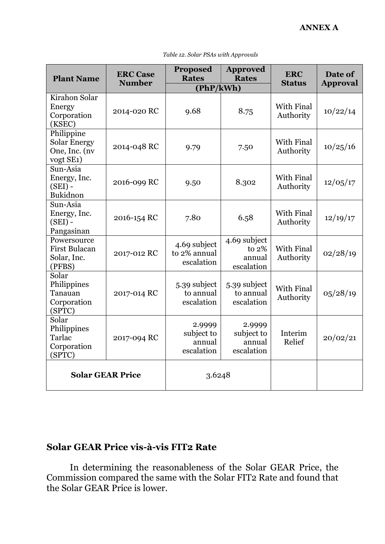| <b>Plant Name</b>                                                            | <b>ERC Case</b>         | <b>Proposed</b><br><b>Rates</b>              | <b>Approved</b><br><b>Rates</b>                 | <b>ERC</b>                     | Date of         |
|------------------------------------------------------------------------------|-------------------------|----------------------------------------------|-------------------------------------------------|--------------------------------|-----------------|
|                                                                              | <b>Number</b>           | (PhP/kWh)                                    |                                                 | <b>Status</b>                  | <b>Approval</b> |
| Kirahon Solar<br>Energy<br>Corporation<br>(KSEC)                             | 2014-020 RC             | 9.68                                         | 8.75                                            | With Final<br>Authority        | 10/22/14        |
| Philippine<br><b>Solar Energy</b><br>One, Inc. (nv<br>vogt SE <sub>1</sub> ) | 2014-048 RC             | 9.79                                         | 7.50                                            | With Final<br>Authority        | 10/25/16        |
| Sun-Asia<br>Energy, Inc.<br>$(SEI)$ -<br>Bukidnon                            | 2016-099 RC             | 9.50                                         | 8.302                                           | With Final<br>Authority        | 12/05/17        |
| Sun-Asia<br>Energy, Inc.<br>$(SEI)$ -<br>Pangasinan                          | 2016-154 RC             | 7.80                                         | 6.58                                            | With Final<br>Authority        | 12/19/17        |
| Powersource<br><b>First Bulacan</b><br>Solar, Inc.<br>(PFBS)                 | 2017-012 RC             | 4.69 subject<br>to 2% annual<br>escalation   | 4.69 subject<br>to $2%$<br>annual<br>escalation | <b>With Final</b><br>Authority | 02/28/19        |
| Solar<br>Philippines<br>Tanauan<br>Corporation<br>(SPTC)                     | 2017-014 RC             | 5.39 subject<br>to annual<br>escalation      | 5.39 subject<br>to annual<br>escalation         | <b>With Final</b><br>Authority | 05/28/19        |
| Solar<br>Philippines<br>Tarlac<br>Corporation<br>(SPTC)                      | 2017-094 RC             | 2.9999<br>subject to<br>annual<br>escalation | 2.9999<br>subject to<br>annual<br>escalation    | Interim<br>Relief              | 20/02/21        |
|                                                                              | <b>Solar GEAR Price</b> | 3.6248                                       |                                                 |                                |                 |

*Table 12. Solar PSAs with Approvals*

## **Solar GEAR Price vis-à-vis FIT2 Rate**

In determining the reasonableness of the Solar GEAR Price, the Commission compared the same with the Solar FIT2 Rate and found that the Solar GEAR Price is lower.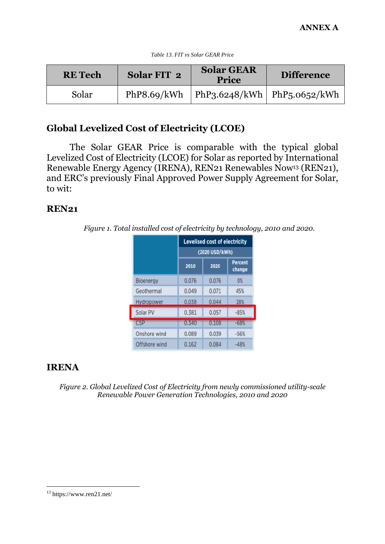| <b>RE</b> Tech | Solar FIT 2 | <b>Solar GEAR</b><br><b>Price</b>           | <b>Difference</b> |
|----------------|-------------|---------------------------------------------|-------------------|
| Solar          |             | PhP8.69/kWh   PhP3.6248/kWh   PhP5.0652/kWh |                   |

## **Global Levelized Cost of Electricity (LCOE)**

The Solar GEAR Price is comparable with the typical global Levelized Cost of Electricity (LCOE) for Solar as reported by International Renewable Energy Agency (IRENA), REN21 Renewables Now<sup>13</sup> (REN21), and ERC's previously Final Approved Power Supply Agreement for Solar, to wit:

#### **REN21**

*Figure 1. Total installed cost of electricity by technology, 2010 and 2020.*

|               |       | <b>Levelised cost of electricity</b><br>(2020 USD/kWh) |                          |  |
|---------------|-------|--------------------------------------------------------|--------------------------|--|
|               | 2010  | 2020                                                   | <b>Percent</b><br>change |  |
| Bioenergy     | 0.076 | 0.076                                                  | $0\%$                    |  |
| Geothermal    | 0.049 | 0.071                                                  | 45%                      |  |
| Hydropower    | 0.038 | 0.044                                                  | 18%                      |  |
| Solar PV      | 0.381 | 0.057                                                  | $-85%$                   |  |
| CSP           | 0.340 | 0.108                                                  | $-68%$                   |  |
| Onshore wind  | 0.089 | 0.039                                                  | $-56%$                   |  |
| Offshore wind | 0.162 | 0.084                                                  | $-48%$                   |  |

## **IRENA**

*Figure 2. Global Levelized Cost of Electricity from newly commissioned utility-scale Renewable Power Generation Technologies, 2010 and 2020*

<sup>13</sup> https://www.ren21.net/